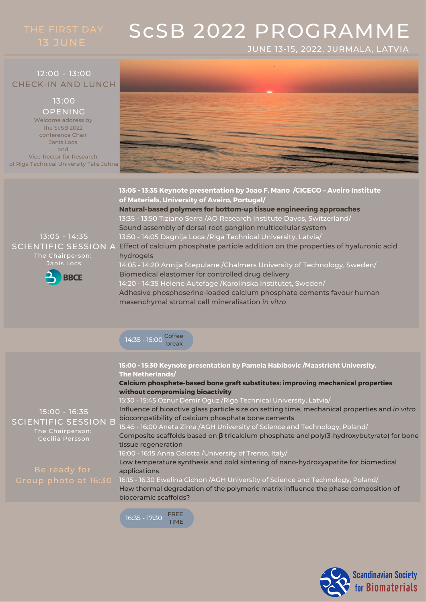JUNE 13-15, 2022, JURMALA, LATVIA

### 12:00 - 13:00 CHECK-IN AND LUNCH

## 13:00

Welcome address by the ScSB 2022 conference Chair Janis Locs and Vice-Rector for Research of Riga Technical University Talis Juhna OPENING



**13:05 - 13:35 Keynote presentation by Joao F. Mano /CICECO – Aveiro Institute of Materials, University of Aveiro, Portugal/**

**Natural-based polymers for bottom-up tissue engineering approaches** 13:35 - 13:50 Tiziano Serra /AO Research Institute Davos, Switzerland/ Sound assembly of dorsal root ganglion multicellular system

13:05 - 14:35 The Chairperson: Janis Locs



13:50 - 14:05 Dagnija Loca /Riga Technical University, Latvia/  $\sf SCIENTIFIC\; SESION\; A$  Effect of calcium phosphate particle addition on the properties of hyaluronic acid hydrogels 14:05 - 14:20 Annija Stepulane /Chalmers University of Technology, Sweden/ Biomedical elastomer for controlled drug delivery

14:20 - 14:35 Helene Autefage /Karolinska Institutet, Sweden/ Adhesive phosphoserine-loaded calcium phosphate cements favour human mesenchymal stromal cell mineralisation *in vitro*



15:00 - 16:35 SCIENTIFIC SESSION B The Chairperson: **15:00 - 15:30 Keynote presentation by Pamela Habibovic /Maastricht University, The Netherlands/ Calcium phosphate-based bone graft substitutes: improving mechanical properties without compromising bioactivity** 15:30 - 15:45 Oznur Demir Oguz /Riga Technical University, Latvia/ Influence of bioactive glass particle size on setting time, mechanical properties and *in vitro* biocompatibility of calcium phosphate bone cements 15:45 - 16:00 Aneta Zima /AGH University of Science and Technology, Poland/ Composite scaffolds based on **β** tricalcium phosphate and poly(3-hydroxybutyrate) for bone tissue regeneration 16:00 - 16:15 Anna Galotta /University of Trento, Italy/ Low temperature synthesis and cold sintering of nano-hydroxyapatite for biomedical applications

16:15 - 16:30 Ewelina Cichon /AGH University of Science and Technology, Poland/ How thermal degradation of the polymeric matrix influence the phase composition of bioceramic scaffolds?



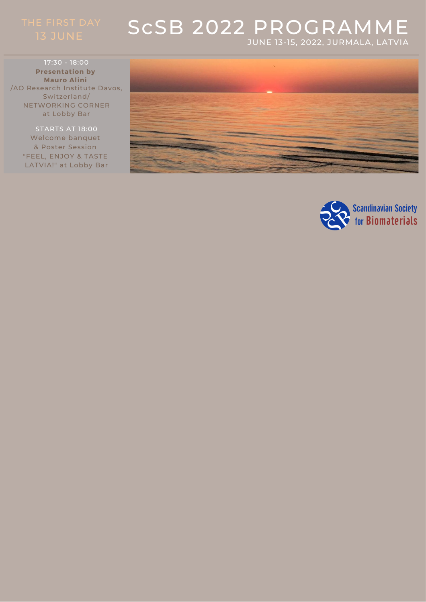## ScSB 2022 PROGRAMME JUNE 13-15, 2022, JURMALA, LATVIA

17:30 - 18:00 **Presentation by Mauro Alini** /AO Research Institute Davos, Switzerland/ NETWORKING CORNER at Lobby Bar

> STARTS AT 18:00 Welcome banquet & Poster Session "FEEL, ENJOY & TASTE LATVIA!" at Lobby Bar



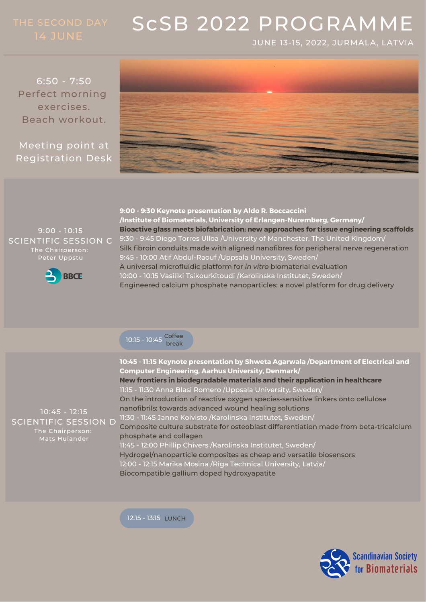JUNE 13-15, 2022, JURMALA, LATVIA

6:50 - 7:50 Perfect morning exercises. Beach workout.

Meeting point at Registration Desk



9:00 - 10:15 SCIENTIFIC SESSION C The Chairperson:



**9:00 - 9:30 Keynote presentation by Aldo R. Boccaccini /Institute of Biomaterials, University of Erlangen-Nuremberg, Germany/ Bioactive glass meets biofabrication: new approaches for tissue engineering scaffolds** 9:30 - 9:45 Diego Torres Ulloa /University of Manchester, The United Kingdom/ Silk fibroin conduits made with aligned nanofibres for peripheral nerve regeneration 9:45 - 10:00 Atif Abdul-Raouf /Uppsala University, Sweden/ A universal microfluidic platform for *in vitro* biomaterial evaluation 10:00 - 10:15 Vasiliki Tsikourkitoudi /Karolinska Institutet, Sweden/ Engineered calcium phosphate nanoparticles: a novel platform for drug delivery

10:15 - 10:45 Coffee break

10:45 - 12:15 SCIENTIFIC SESSION D The Chairperson: **10:45 - 11:15 Keynote presentation by Shweta Agarwala /Department of Electrical and Computer Engineering, Aarhus University, Denmark/ New frontiers in biodegradable materials and their application in healthcare** 11:15 - 11:30 Anna Blasi Romero /Uppsala University, Sweden/ On the introduction of reactive oxygen species-sensitive linkers onto cellulose nanofibrils: towards advanced wound healing solutions 11:30 - 11:45 Janne Koivisto /Karolinska Institutet, Sweden/ Composite culture substrate for osteoblast differentiation made from beta-tricalcium phosphate and collagen 11:45 - 12:00 Phillip Chivers /Karolinska Institutet, Sweden/ Hydrogel/nanoparticle composites as cheap and versatile biosensors 12:00 - 12:15 Marika Mosina /Riga Technical University, Latvia/ Biocompatible gallium doped hydroxyapatite

12:15 - 13:15 LUNCH

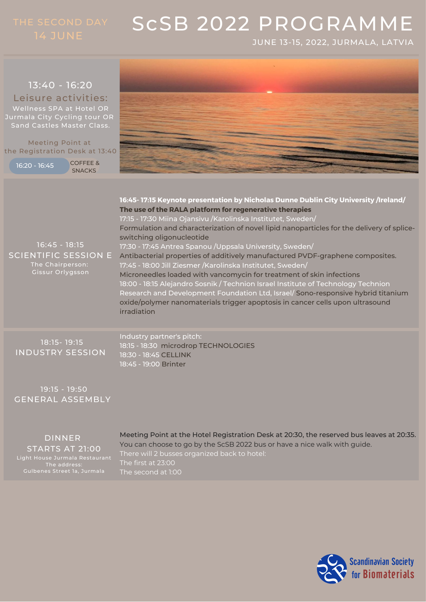JUNE 13-15, 2022, JURMALA, LATVIA



19:15 - 19:50 GENERAL ASSEMBLY

DINNER STARTS AT 21:00 Light House Jurmala Restaurant The address:

Meeting Point at the Hotel Registration Desk at 20:30, the reserved bus leaves at 20:35. You can choose to go by the ScSB 2022 bus or have a nice walk with guide. There will 2 busses organized back to hotel: The first at 23:00

> Scandinavian Society for Biomaterials